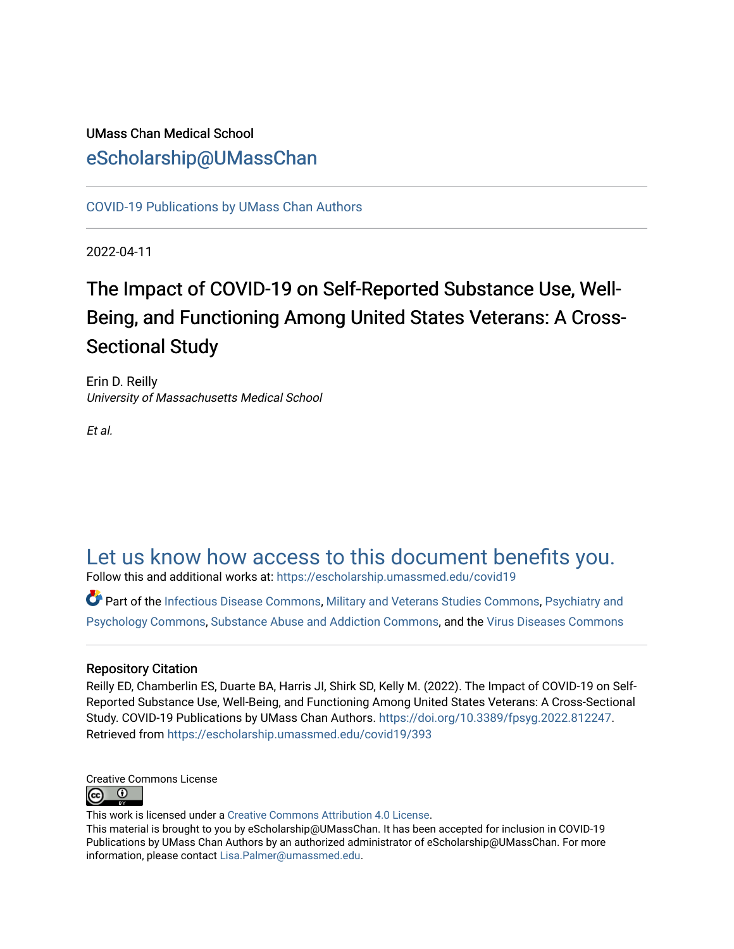# UMass Chan Medical School [eScholarship@UMassChan](https://escholarship.umassmed.edu/)

[COVID-19 Publications by UMass Chan Authors](https://escholarship.umassmed.edu/covid19)

2022-04-11

# The Impact of COVID-19 on Self-Reported Substance Use, Well-Being, and Functioning Among United States Veterans: A Cross-Sectional Study

Erin D. Reilly University of Massachusetts Medical School

Et al.

# [Let us know how access to this document benefits you.](https://arcsapps.umassmed.edu/redcap/surveys/?s=XWRHNF9EJE)

Follow this and additional works at: [https://escholarship.umassmed.edu/covid19](https://escholarship.umassmed.edu/covid19?utm_source=escholarship.umassmed.edu%2Fcovid19%2F393&utm_medium=PDF&utm_campaign=PDFCoverPages) 

Part of the [Infectious Disease Commons,](https://network.bepress.com/hgg/discipline/689?utm_source=escholarship.umassmed.edu%2Fcovid19%2F393&utm_medium=PDF&utm_campaign=PDFCoverPages) [Military and Veterans Studies Commons](https://network.bepress.com/hgg/discipline/396?utm_source=escholarship.umassmed.edu%2Fcovid19%2F393&utm_medium=PDF&utm_campaign=PDFCoverPages), [Psychiatry and](https://network.bepress.com/hgg/discipline/908?utm_source=escholarship.umassmed.edu%2Fcovid19%2F393&utm_medium=PDF&utm_campaign=PDFCoverPages) [Psychology Commons,](https://network.bepress.com/hgg/discipline/908?utm_source=escholarship.umassmed.edu%2Fcovid19%2F393&utm_medium=PDF&utm_campaign=PDFCoverPages) [Substance Abuse and Addiction Commons](https://network.bepress.com/hgg/discipline/710?utm_source=escholarship.umassmed.edu%2Fcovid19%2F393&utm_medium=PDF&utm_campaign=PDFCoverPages), and the [Virus Diseases Commons](https://network.bepress.com/hgg/discipline/998?utm_source=escholarship.umassmed.edu%2Fcovid19%2F393&utm_medium=PDF&utm_campaign=PDFCoverPages) 

## Repository Citation

Reilly ED, Chamberlin ES, Duarte BA, Harris JI, Shirk SD, Kelly M. (2022). The Impact of COVID-19 on Self-Reported Substance Use, Well-Being, and Functioning Among United States Veterans: A Cross-Sectional Study. COVID-19 Publications by UMass Chan Authors.<https://doi.org/10.3389/fpsyg.2022.812247>. Retrieved from [https://escholarship.umassmed.edu/covid19/393](https://escholarship.umassmed.edu/covid19/393?utm_source=escholarship.umassmed.edu%2Fcovid19%2F393&utm_medium=PDF&utm_campaign=PDFCoverPages)

Creative Commons License  $\bullet$  $(c<sub>c</sub>)$ 

This work is licensed under a [Creative Commons Attribution 4.0 License](http://creativecommons.org/licenses/by/4.0/).

This material is brought to you by eScholarship@UMassChan. It has been accepted for inclusion in COVID-19 Publications by UMass Chan Authors by an authorized administrator of eScholarship@UMassChan. For more information, please contact [Lisa.Palmer@umassmed.edu.](mailto:Lisa.Palmer@umassmed.edu)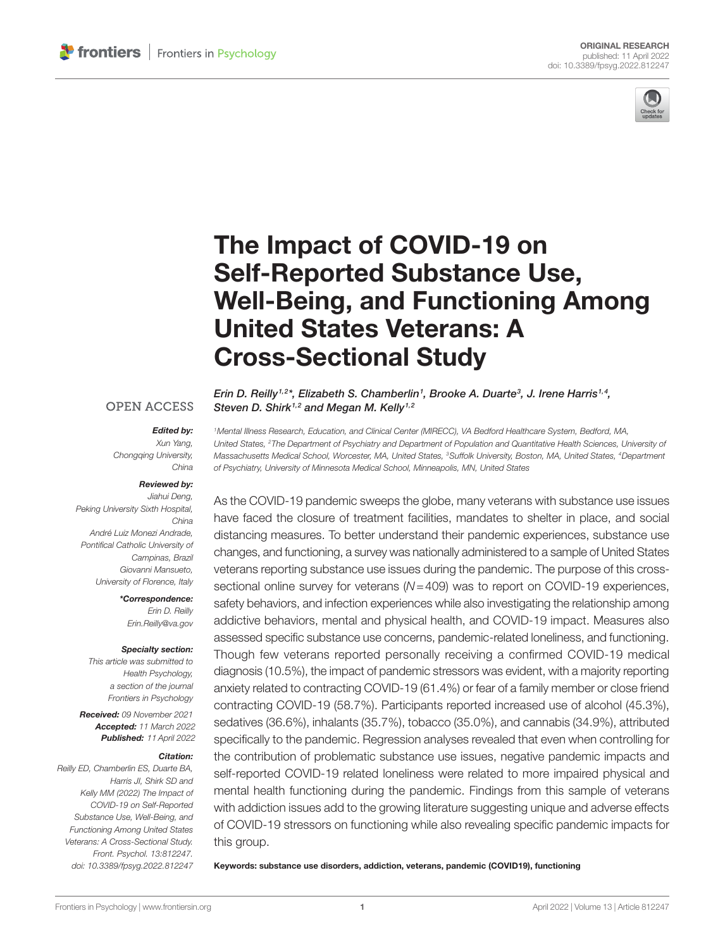

# [The Impact of COVID-19 on](https://www.frontiersin.org/articles/10.3389/fpsyg.2022.812247/full)  [Self-Reported Substance Use,](https://www.frontiersin.org/articles/10.3389/fpsyg.2022.812247/full)  [Well-Being, and Functioning Among](https://www.frontiersin.org/articles/10.3389/fpsyg.2022.812247/full)  [United States Veterans: A](https://www.frontiersin.org/articles/10.3389/fpsyg.2022.812247/full)  [Cross-Sectional Study](https://www.frontiersin.org/articles/10.3389/fpsyg.2022.812247/full)

## **OPEN ACCESS**

### *Edited by:*

*Xun Yang, Chongqing University, China*

#### *Reviewed by:*

*Jiahui Deng, Peking University Sixth Hospital, China André Luiz Monezi Andrade, Pontifical Catholic University of Campinas, Brazil Giovanni Mansueto, University of Florence, Italy*

> *\*Correspondence: Erin D. Reilly [Erin.Reilly@va.gov](mailto:Erin.Reilly@va.gov)*

#### *Specialty section:*

*This article was submitted to Health Psychology, a section of the journal Frontiers in Psychology*

*Received: 09 November 2021 Accepted: 11 March 2022 Published:* 11 *April 2022*

#### *Citation:*

*Reilly ED, Chamberlin ES, Duarte BA, Harris JI, Shirk SD and Kelly MM (2022) The Impact of COVID-19 on Self-Reported Substance Use, Well-Being, and Functioning Among United States Veterans: A Cross-Sectional Study. Front. Psychol. 13:812247. [doi: 10.3389/fpsyg.2022.812247](https://doi.org/10.3389/fpsyg.2022.812247)* *Erin D. Reilly<sup>1,2\*</sup>, Elizabeth S. Chamberlin<sup>1</sup>, Brooke A. Duarte<sup>3</sup>, J. Irene Harris<sup>1,4</sup>, Steven D. Shirk1,2 and Megan M. Kelly1,2*

*1Mental Illness Research, Education, and Clinical Center (MIRECC), VA Bedford Healthcare System, Bedford, MA, United States, 2The Department of Psychiatry and Department of Population and Quantitative Health Sciences, University of Massachusetts Medical School, Worcester, MA, United States, 3Suffolk University, Boston, MA, United States, 4Department of Psychiatry, University of Minnesota Medical School, Minneapolis, MN, United States*

As the COVID-19 pandemic sweeps the globe, many veterans with substance use issues have faced the closure of treatment facilities, mandates to shelter in place, and social distancing measures. To better understand their pandemic experiences, substance use changes, and functioning, a survey was nationally administered to a sample of United States veterans reporting substance use issues during the pandemic. The purpose of this crosssectional online survey for veterans (*N*=409) was to report on COVID-19 experiences, safety behaviors, and infection experiences while also investigating the relationship among addictive behaviors, mental and physical health, and COVID-19 impact. Measures also assessed specific substance use concerns, pandemic-related loneliness, and functioning. Though few veterans reported personally receiving a confirmed COVID-19 medical diagnosis (10.5%), the impact of pandemic stressors was evident, with a majority reporting anxiety related to contracting COVID-19 (61.4%) or fear of a family member or close friend contracting COVID-19 (58.7%). Participants reported increased use of alcohol (45.3%), sedatives (36.6%), inhalants (35.7%), tobacco (35.0%), and cannabis (34.9%), attributed specifically to the pandemic. Regression analyses revealed that even when controlling for the contribution of problematic substance use issues, negative pandemic impacts and self-reported COVID-19 related loneliness were related to more impaired physical and mental health functioning during the pandemic. Findings from this sample of veterans with addiction issues add to the growing literature suggesting unique and adverse effects of COVID-19 stressors on functioning while also revealing specific pandemic impacts for this group.

Keywords: substance use disorders, addiction, veterans, pandemic (COVID19), functioning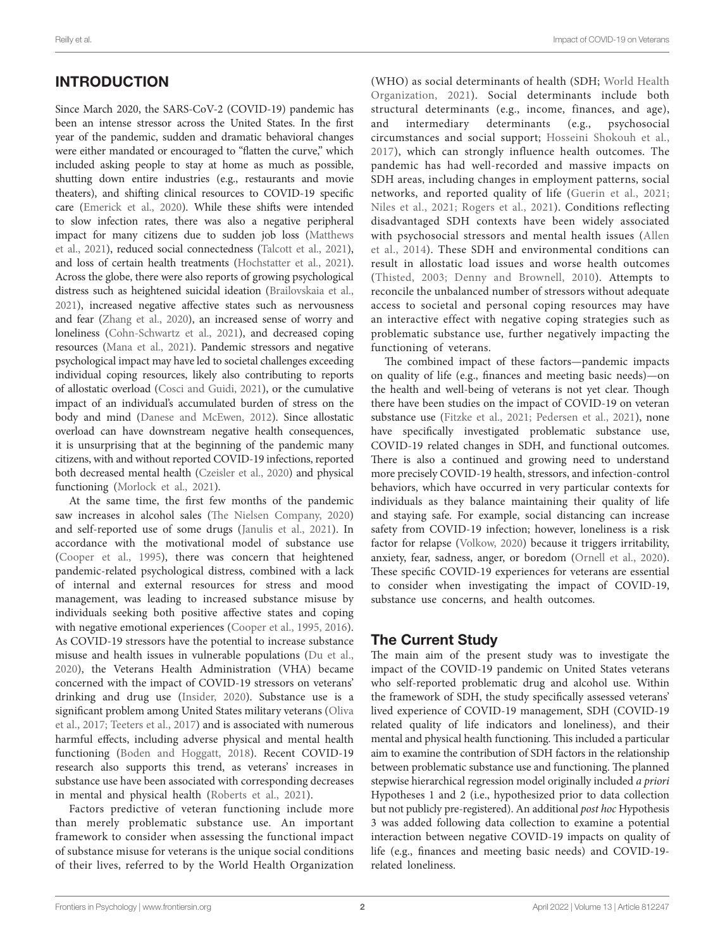# INTRODUCTION

Since March 2020, the SARS-CoV-2 (COVID-19) pandemic has been an intense stressor across the United States. In the first year of the pandemic, sudden and dramatic behavioral changes were either mandated or encouraged to "flatten the curve," which included asking people to stay at home as much as possible, shutting down entire industries (e.g., restaurants and movie theaters), and shifting clinical resources to COVID-19 specific care ([Emerick et al., 2020](#page-11-0)). While these shifts were intended to slow infection rates, there was also a negative peripheral impact for many citizens due to sudden job loss [\(Matthews](#page-12-0)  [et al., 2021](#page-12-0)), reduced social connectedness [\(Talcott et al., 2021](#page-12-1)), and loss of certain health treatments [\(Hochstatter et al., 2021](#page-11-1)). Across the globe, there were also reports of growing psychological distress such as heightened suicidal ideation [\(Brailovskaia et al.,](#page-11-2)  [2021](#page-11-2)), increased negative affective states such as nervousness and fear [\(Zhang et al., 2020\)](#page-12-2), an increased sense of worry and loneliness [\(Cohn-Schwartz et al., 2021](#page-11-3)), and decreased coping resources [\(Mana et al., 2021\)](#page-11-4). Pandemic stressors and negative psychological impact may have led to societal challenges exceeding individual coping resources, likely also contributing to reports of allostatic overload [\(Cosci and Guidi, 2021](#page-11-5)), or the cumulative impact of an individual's accumulated burden of stress on the body and mind [\(Danese and McEwen, 2012](#page-11-6)). Since allostatic overload can have downstream negative health consequences, it is unsurprising that at the beginning of the pandemic many citizens, with and without reported COVID-19 infections, reported both decreased mental health [\(Czeisler et al., 2020](#page-11-7)) and physical functioning [\(Morlock et al., 2021\)](#page-12-3).

At the same time, the first few months of the pandemic saw increases in alcohol sales ([The Nielsen Company, 2020](#page-12-4)) and self-reported use of some drugs ([Janulis et al., 2021\)](#page-11-8). In accordance with the motivational model of substance use ([Cooper et al., 1995](#page-11-9)), there was concern that heightened pandemic-related psychological distress, combined with a lack of internal and external resources for stress and mood management, was leading to increased substance misuse by individuals seeking both positive affective states and coping with negative emotional experiences ([Cooper et al., 1995](#page-11-9), [2016](#page-11-10)). As COVID-19 stressors have the potential to increase substance misuse and health issues in vulnerable populations [\(Du et al.,](#page-11-11)  [2020\)](#page-11-11), the Veterans Health Administration (VHA) became concerned with the impact of COVID-19 stressors on veterans' drinking and drug use ([Insider, 2020\)](#page-11-12). Substance use is a significant problem among United States military veterans ([Oliva](#page-12-5)  [et al., 2017](#page-12-5); [Teeters et al., 2017\)](#page-12-6) and is associated with numerous harmful effects, including adverse physical and mental health functioning ([Boden and Hoggatt, 2018](#page-11-13)). Recent COVID-19 research also supports this trend, as veterans' increases in substance use have been associated with corresponding decreases in mental and physical health [\(Roberts et al., 2021\)](#page-12-7).

Factors predictive of veteran functioning include more than merely problematic substance use. An important framework to consider when assessing the functional impact of substance misuse for veterans is the unique social conditions of their lives, referred to by the World Health Organization (WHO) as social determinants of health (SDH; [World Health](#page-12-8)  [Organization, 2021\)](#page-12-8). Social determinants include both structural determinants (e.g., income, finances, and age), and intermediary determinants (e.g., psychosocial circumstances and social support; [Hosseini Shokouh et al.,](#page-11-14)  [2017\)](#page-11-14), which can strongly influence health outcomes. The pandemic has had well-recorded and massive impacts on SDH areas, including changes in employment patterns, social networks, and reported quality of life ([Guerin et al., 2021;](#page-11-15) [Niles et al., 2021](#page-12-9); [Rogers et al., 2021\)](#page-12-10). Conditions reflecting disadvantaged SDH contexts have been widely associated with psychosocial stressors and mental health issues ([Allen](#page-11-16)  [et al., 2014](#page-11-16)). These SDH and environmental conditions can result in allostatic load issues and worse health outcomes [\(Thisted, 2003](#page-12-11); [Denny and Brownell, 2010\)](#page-11-17). Attempts to reconcile the unbalanced number of stressors without adequate access to societal and personal coping resources may have an interactive effect with negative coping strategies such as problematic substance use, further negatively impacting the functioning of veterans.

The combined impact of these factors—pandemic impacts on quality of life (e.g., finances and meeting basic needs)—on the health and well-being of veterans is not yet clear. Though there have been studies on the impact of COVID-19 on veteran substance use (Fitzke et al., 2021; Pedersen et al., 2021), none have specifically investigated problematic substance use, COVID-19 related changes in SDH, and functional outcomes. There is also a continued and growing need to understand more precisely COVID-19 health, stressors, and infection-control behaviors, which have occurred in very particular contexts for individuals as they balance maintaining their quality of life and staying safe. For example, social distancing can increase safety from COVID-19 infection; however, loneliness is a risk factor for relapse ([Volkow, 2020](#page-12-13)) because it triggers irritability, anxiety, fear, sadness, anger, or boredom [\(Ornell et al., 2020](#page-12-14)). These specific COVID-19 experiences for veterans are essential to consider when investigating the impact of COVID-19, substance use concerns, and health outcomes.

# The Current Study

The main aim of the present study was to investigate the impact of the COVID-19 pandemic on United States veterans who self-reported problematic drug and alcohol use. Within the framework of SDH, the study specifically assessed veterans' lived experience of COVID-19 management, SDH (COVID-19 related quality of life indicators and loneliness), and their mental and physical health functioning. This included a particular aim to examine the contribution of SDH factors in the relationship between problematic substance use and functioning. The planned stepwise hierarchical regression model originally included *a priori* Hypotheses 1 and 2 (i.e., hypothesized prior to data collection but not publicly pre-registered). An additional *post hoc* Hypothesis 3 was added following data collection to examine a potential interaction between negative COVID-19 impacts on quality of life (e.g., finances and meeting basic needs) and COVID-19 related loneliness.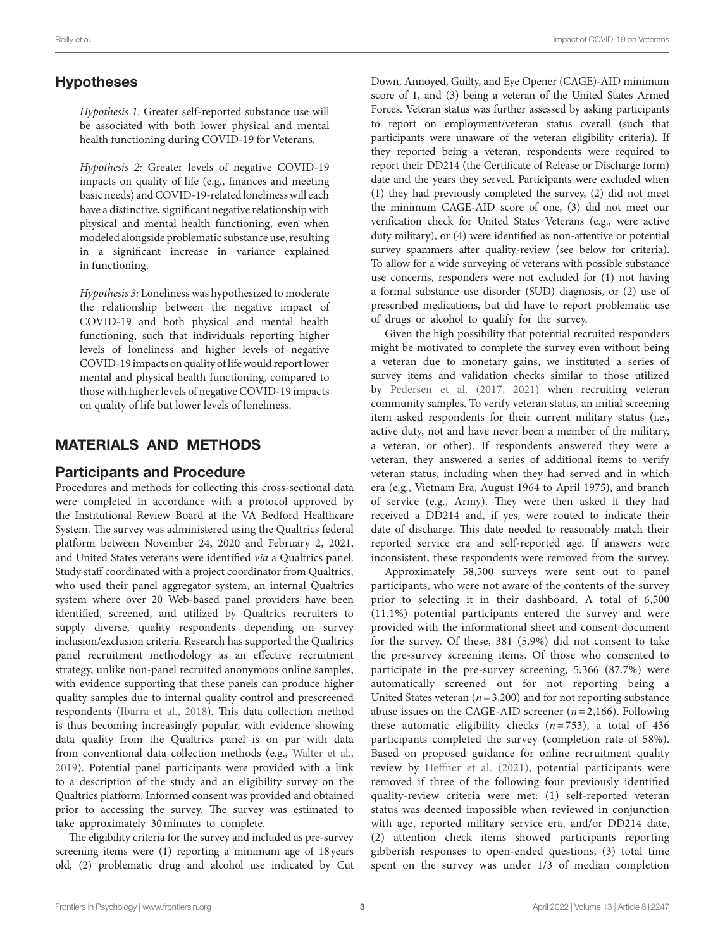# Hypotheses

*Hypothesis 1:* Greater self-reported substance use will be associated with both lower physical and mental health functioning during COVID-19 for Veterans.

*Hypothesis 2:* Greater levels of negative COVID-19 impacts on quality of life (e.g., finances and meeting basic needs) and COVID-19-related loneliness will each have a distinctive, significant negative relationship with physical and mental health functioning, even when modeled alongside problematic substance use, resulting in a significant increase in variance explained in functioning.

*Hypothesis 3:* Loneliness was hypothesized to moderate the relationship between the negative impact of COVID-19 and both physical and mental health functioning, such that individuals reporting higher levels of loneliness and higher levels of negative COVID-19 impacts on quality of life would report lower mental and physical health functioning, compared to those with higher levels of negative COVID-19 impacts on quality of life but lower levels of loneliness.

# MATERIALS AND METHODS

## Participants and Procedure

Procedures and methods for collecting this cross-sectional data were completed in accordance with a protocol approved by the Institutional Review Board at the VA Bedford Healthcare System. The survey was administered using the Qualtrics federal platform between November 24, 2020 and February 2, 2021, and United States veterans were identified *via* a Qualtrics panel. Study staff coordinated with a project coordinator from Qualtrics, who used their panel aggregator system, an internal Qualtrics system where over 20 Web-based panel providers have been identified, screened, and utilized by Qualtrics recruiters to supply diverse, quality respondents depending on survey inclusion/exclusion criteria. Research has supported the Qualtrics panel recruitment methodology as an effective recruitment strategy, unlike non-panel recruited anonymous online samples, with evidence supporting that these panels can produce higher quality samples due to internal quality control and prescreened respondents ([Ibarra et al., 2018](#page-11-19)). This data collection method is thus becoming increasingly popular, with evidence showing data quality from the Qualtrics panel is on par with data from conventional data collection methods (e.g., [Walter et al.,](#page-12-15)  [2019\)](#page-12-15). Potential panel participants were provided with a link to a description of the study and an eligibility survey on the Qualtrics platform. Informed consent was provided and obtained prior to accessing the survey. The survey was estimated to take approximately 30minutes to complete.

The eligibility criteria for the survey and included as pre-survey screening items were (1) reporting a minimum age of 18years old, (2) problematic drug and alcohol use indicated by Cut

Down, Annoyed, Guilty, and Eye Opener (CAGE)-AID minimum score of 1, and (3) being a veteran of the United States Armed Forces. Veteran status was further assessed by asking participants to report on employment/veteran status overall (such that participants were unaware of the veteran eligibility criteria). If they reported being a veteran, respondents were required to report their DD214 (the Certificate of Release or Discharge form) date and the years they served. Participants were excluded when (1) they had previously completed the survey, (2) did not meet the minimum CAGE-AID score of one, (3) did not meet our verification check for United States Veterans (e.g., were active duty military), or (4) were identified as non-attentive or potential survey spammers after quality-review (see below for criteria). To allow for a wide surveying of veterans with possible substance use concerns, responders were not excluded for (1) not having a formal substance use disorder (SUD) diagnosis, or (2) use of prescribed medications, but did have to report problematic use of drugs or alcohol to qualify for the survey.

Given the high possibility that potential recruited responders might be motivated to complete the survey even without being a veteran due to monetary gains, we instituted a series of survey items and validation checks similar to those utilized by [Pedersen et al. \(2017,](#page-12-16) [2021\)](#page-12-12) when recruiting veteran community samples. To verify veteran status, an initial screening item asked respondents for their current military status (i.e., active duty, not and have never been a member of the military, a veteran, or other). If respondents answered they were a veteran, they answered a series of additional items to verify veteran status, including when they had served and in which era (e.g., Vietnam Era, August 1964 to April 1975), and branch of service (e.g., Army). They were then asked if they had received a DD214 and, if yes, were routed to indicate their date of discharge. This date needed to reasonably match their reported service era and self-reported age. If answers were inconsistent, these respondents were removed from the survey.

Approximately 58,500 surveys were sent out to panel participants, who were not aware of the contents of the survey prior to selecting it in their dashboard. A total of 6,500 (11.1%) potential participants entered the survey and were provided with the informational sheet and consent document for the survey. Of these, 381 (5.9%) did not consent to take the pre-survey screening items. Of those who consented to participate in the pre-survey screening, 5,366 (87.7%) were automatically screened out for not reporting being a United States veteran  $(n=3,200)$  and for not reporting substance abuse issues on the CAGE-AID screener (*n* = 2,166). Following these automatic eligibility checks  $(n=753)$ , a total of 436 participants completed the survey (completion rate of 58%). Based on proposed guidance for online recruitment quality review by [Heffner et al. \(2021\)](#page-11-20), potential participants were removed if three of the following four previously identified quality-review criteria were met: (1) self-reported veteran status was deemed impossible when reviewed in conjunction with age, reported military service era, and/or DD214 date, (2) attention check items showed participants reporting gibberish responses to open-ended questions, (3) total time spent on the survey was under 1/3 of median completion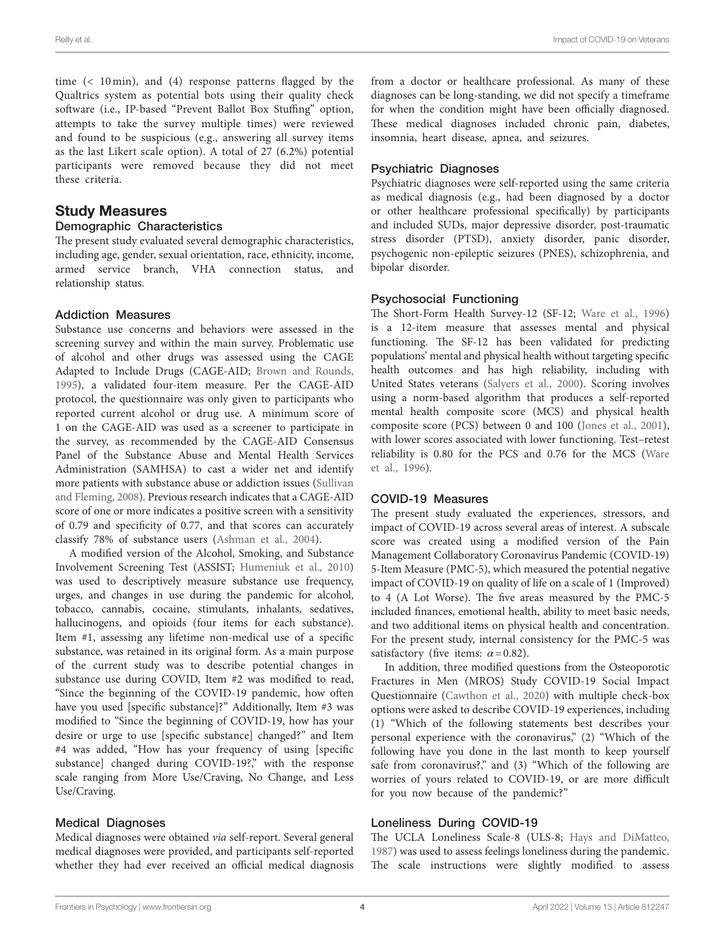time (< 10 min), and (4) response patterns flagged by the Qualtrics system as potential bots using their quality check software (i.e., IP-based "Prevent Ballot Box Stuffing" option, attempts to take the survey multiple times) were reviewed and found to be suspicious (e.g., answering all survey items as the last Likert scale option). A total of 27 (6.2%) potential participants were removed because they did not meet these criteria.

#### Study Measures

#### Demographic Characteristics

The present study evaluated several demographic characteristics, including age, gender, sexual orientation, race, ethnicity, income, armed service branch, VHA connection status, and relationship status.

#### Addiction Measures

Substance use concerns and behaviors were assessed in the screening survey and within the main survey. Problematic use of alcohol and other drugs was assessed using the CAGE Adapted to Include Drugs (CAGE-AID; [Brown and Rounds,](#page-11-21)  [1995\)](#page-11-21), a validated four-item measure. Per the CAGE-AID protocol, the questionnaire was only given to participants who reported current alcohol or drug use. A minimum score of 1 on the CAGE-AID was used as a screener to participate in the survey, as recommended by the CAGE-AID Consensus Panel of the Substance Abuse and Mental Health Services Administration (SAMHSA) to cast a wider net and identify more patients with substance abuse or addiction issues [\(Sullivan](#page-12-17)  [and Fleming, 2008](#page-12-17)). Previous research indicates that a CAGE-AID score of one or more indicates a positive screen with a sensitivity of 0.79 and specificity of 0.77, and that scores can accurately classify 78% of substance users ([Ashman et al., 2004\)](#page-11-22).

A modified version of the Alcohol, Smoking, and Substance Involvement Screening Test (ASSIST; [Humeniuk et al., 2010](#page-11-23)) was used to descriptively measure substance use frequency, urges, and changes in use during the pandemic for alcohol, tobacco, cannabis, cocaine, stimulants, inhalants, sedatives, hallucinogens, and opioids (four items for each substance). Item #1, assessing any lifetime non-medical use of a specific substance, was retained in its original form. As a main purpose of the current study was to describe potential changes in substance use during COVID, Item #2 was modified to read, "Since the beginning of the COVID-19 pandemic, how often have you used [specific substance]?" Additionally, Item #3 was modified to "Since the beginning of COVID-19, how has your desire or urge to use [specific substance] changed?" and Item #4 was added, "How has your frequency of using [specific substance] changed during COVID-19?," with the response scale ranging from More Use/Craving, No Change, and Less Use/Craving.

#### Medical Diagnoses

Medical diagnoses were obtained *via* self-report. Several general medical diagnoses were provided, and participants self-reported whether they had ever received an official medical diagnosis from a doctor or healthcare professional. As many of these diagnoses can be long-standing, we did not specify a timeframe for when the condition might have been officially diagnosed. These medical diagnoses included chronic pain, diabetes, insomnia, heart disease, apnea, and seizures.

#### Psychiatric Diagnoses

Psychiatric diagnoses were self-reported using the same criteria as medical diagnosis (e.g., had been diagnosed by a doctor or other healthcare professional specifically) by participants and included SUDs, major depressive disorder, post-traumatic stress disorder (PTSD), anxiety disorder, panic disorder, psychogenic non-epileptic seizures (PNES), schizophrenia, and bipolar disorder.

#### Psychosocial Functioning

The Short-Form Health Survey-12 (SF-12; [Ware et al., 1996\)](#page-12-18) is a 12-item measure that assesses mental and physical functioning. The SF-12 has been validated for predicting populations' mental and physical health without targeting specific health outcomes and has high reliability, including with United States veterans [\(Salyers et al., 2000\)](#page-12-19). Scoring involves using a norm-based algorithm that produces a self-reported mental health composite score (MCS) and physical health composite score (PCS) between 0 and 100 ([Jones et al., 2001](#page-11-24)), with lower scores associated with lower functioning. Test–retest reliability is 0.80 for the PCS and 0.76 for the MCS [\(Ware](#page-12-18)  [et al., 1996](#page-12-18)).

#### COVID-19 Measures

The present study evaluated the experiences, stressors, and impact of COVID-19 across several areas of interest. A subscale score was created using a modified version of the Pain Management Collaboratory Coronavirus Pandemic (COVID-19) 5-Item Measure (PMC-5), which measured the potential negative impact of COVID-19 on quality of life on a scale of 1 (Improved) to 4 (A Lot Worse). The five areas measured by the PMC-5 included finances, emotional health, ability to meet basic needs, and two additional items on physical health and concentration. For the present study, internal consistency for the PMC-5 was satisfactory (five items:  $\alpha$ =0.82).

In addition, three modified questions from the Osteoporotic Fractures in Men (MROS) Study COVID-19 Social Impact Questionnaire ([Cawthon et al., 2020\)](#page-11-25) with multiple check-box options were asked to describe COVID-19 experiences, including (1) "Which of the following statements best describes your personal experience with the coronavirus," (2) "Which of the following have you done in the last month to keep yourself safe from coronavirus?," and (3) "Which of the following are worries of yours related to COVID-19, or are more difficult for you now because of the pandemic?"

#### Loneliness During COVID-19

The UCLA Loneliness Scale-8 (ULS-8; [Hays and DiMatteo,](#page-11-26)  [1987\)](#page-11-26) was used to assess feelings loneliness during the pandemic. The scale instructions were slightly modified to assess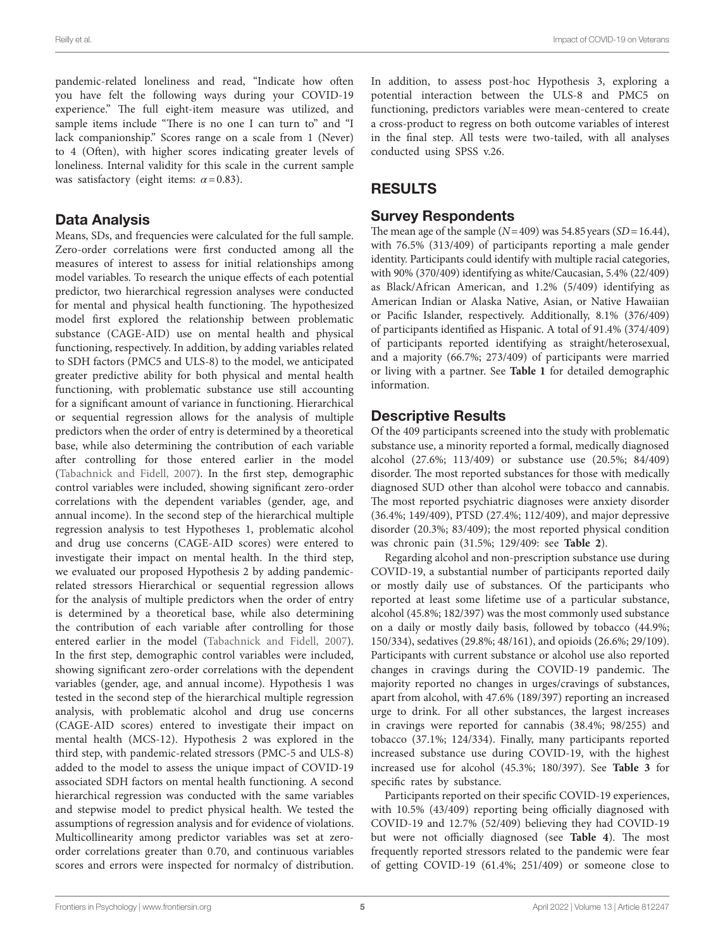pandemic-related loneliness and read, "Indicate how often you have felt the following ways during your COVID-19 experience." The full eight-item measure was utilized, and sample items include "There is no one I can turn to" and "I lack companionship." Scores range on a scale from 1 (Never) to 4 (Often), with higher scores indicating greater levels of loneliness. Internal validity for this scale in the current sample was satisfactory (eight items: *α*=0.83).

## Data Analysis

Means, SDs, and frequencies were calculated for the full sample. Zero-order correlations were first conducted among all the measures of interest to assess for initial relationships among model variables. To research the unique effects of each potential predictor, two hierarchical regression analyses were conducted for mental and physical health functioning. The hypothesized model first explored the relationship between problematic substance (CAGE-AID) use on mental health and physical functioning, respectively. In addition, by adding variables related to SDH factors (PMC5 and ULS-8) to the model, we anticipated greater predictive ability for both physical and mental health functioning, with problematic substance use still accounting for a significant amount of variance in functioning. Hierarchical or sequential regression allows for the analysis of multiple predictors when the order of entry is determined by a theoretical base, while also determining the contribution of each variable after controlling for those entered earlier in the model ([Tabachnick and Fidell, 2007](#page-12-20)). In the first step, demographic control variables were included, showing significant zero-order correlations with the dependent variables (gender, age, and annual income). In the second step of the hierarchical multiple regression analysis to test Hypotheses 1, problematic alcohol and drug use concerns (CAGE-AID scores) were entered to investigate their impact on mental health. In the third step, we evaluated our proposed Hypothesis 2 by adding pandemicrelated stressors Hierarchical or sequential regression allows for the analysis of multiple predictors when the order of entry is determined by a theoretical base, while also determining the contribution of each variable after controlling for those entered earlier in the model [\(Tabachnick and Fidell, 2007](#page-12-20)). In the first step, demographic control variables were included, showing significant zero-order correlations with the dependent variables (gender, age, and annual income). Hypothesis 1 was tested in the second step of the hierarchical multiple regression analysis, with problematic alcohol and drug use concerns (CAGE-AID scores) entered to investigate their impact on mental health (MCS-12). Hypothesis 2 was explored in the third step, with pandemic-related stressors (PMC-5 and ULS-8) added to the model to assess the unique impact of COVID-19 associated SDH factors on mental health functioning. A second hierarchical regression was conducted with the same variables and stepwise model to predict physical health. We tested the assumptions of regression analysis and for evidence of violations. Multicollinearity among predictor variables was set at zeroorder correlations greater than 0.70, and continuous variables scores and errors were inspected for normalcy of distribution.

In addition, to assess post-hoc Hypothesis 3, exploring a potential interaction between the ULS-8 and PMC5 on functioning, predictors variables were mean-centered to create a cross-product to regress on both outcome variables of interest in the final step. All tests were two-tailed, with all analyses conducted using SPSS v.26.

# RESULTS

## Survey Respondents

The mean age of the sample  $(N=409)$  was 54.85 years  $(SD=16.44)$ , with 76.5% (313/409) of participants reporting a male gender identity. Participants could identify with multiple racial categories, with 90% (370/409) identifying as white/Caucasian, 5.4% (22/409) as Black/African American, and 1.2% (5/409) identifying as American Indian or Alaska Native, Asian, or Native Hawaiian or Pacific Islander, respectively. Additionally, 8.1% (376/409) of participants identified as Hispanic. A total of 91.4% (374/409) of participants reported identifying as straight/heterosexual, and a majority (66.7%; 273/409) of participants were married or living with a partner. See **[Table 1](#page-6-0)** for detailed demographic information.

# Descriptive Results

Of the 409 participants screened into the study with problematic substance use, a minority reported a formal, medically diagnosed alcohol (27.6%; 113/409) or substance use (20.5%; 84/409) disorder. The most reported substances for those with medically diagnosed SUD other than alcohol were tobacco and cannabis. The most reported psychiatric diagnoses were anxiety disorder (36.4%; 149/409), PTSD (27.4%; 112/409), and major depressive disorder (20.3%; 83/409); the most reported physical condition was chronic pain (31.5%; 129/409: see **[Table 2](#page-6-1)**).

Regarding alcohol and non-prescription substance use during COVID-19, a substantial number of participants reported daily or mostly daily use of substances. Of the participants who reported at least some lifetime use of a particular substance, alcohol (45.8%; 182/397) was the most commonly used substance on a daily or mostly daily basis, followed by tobacco (44.9%; 150/334), sedatives (29.8%; 48/161), and opioids (26.6%; 29/109). Participants with current substance or alcohol use also reported changes in cravings during the COVID-19 pandemic. The majority reported no changes in urges/cravings of substances, apart from alcohol, with 47.6% (189/397) reporting an increased urge to drink. For all other substances, the largest increases in cravings were reported for cannabis (38.4%; 98/255) and tobacco (37.1%; 124/334). Finally, many participants reported increased substance use during COVID-19, with the highest increased use for alcohol (45.3%; 180/397). See **[Table 3](#page-7-0)** for specific rates by substance.

Participants reported on their specific COVID-19 experiences, with 10.5% (43/409) reporting being officially diagnosed with COVID-19 and 12.7% (52/409) believing they had COVID-19 but were not officially diagnosed (see **[Table 4](#page-7-1)**). The most frequently reported stressors related to the pandemic were fear of getting COVID-19 (61.4%; 251/409) or someone close to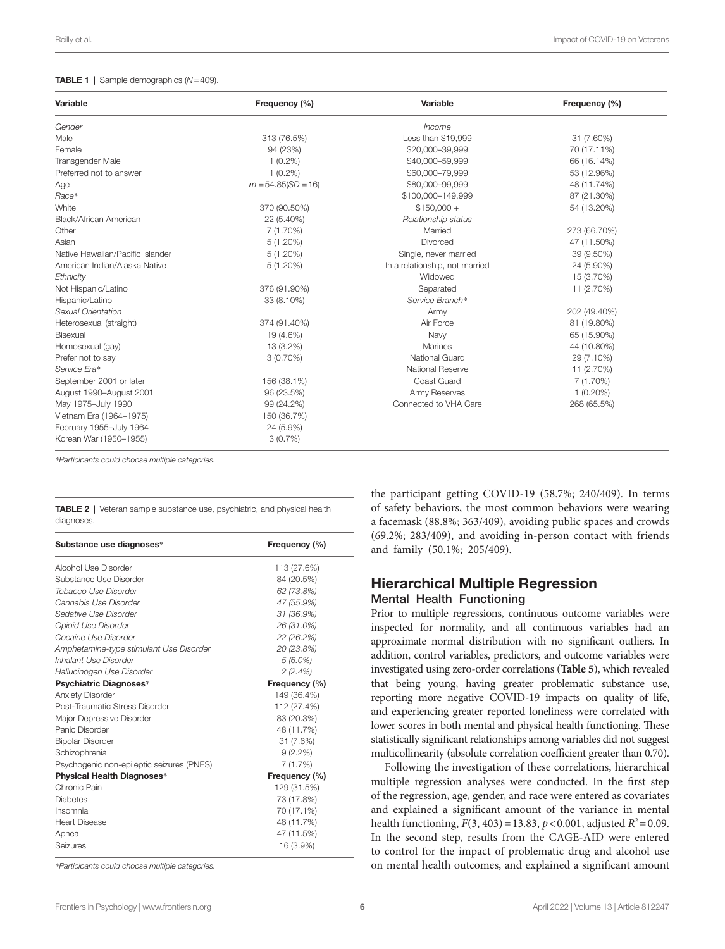#### <span id="page-6-0"></span>TABLE 1 | Sample demographics (*N*=409).

| Variable                         | Frequency (%)        | Variable                       | Frequency (%) |
|----------------------------------|----------------------|--------------------------------|---------------|
| Gender                           |                      | Income                         |               |
| Male                             | 313 (76.5%)          | Less than \$19,999             | 31 (7.60%)    |
| Female                           | 94 (23%)             | \$20,000-39,999                | 70 (17.11%)   |
| Transgender Male                 | $1(0.2\%)$           | \$40,000-59,999                | 66 (16.14%)   |
| Preferred not to answer          | $1(0.2\%)$           | \$60,000-79.999                | 53 (12.96%)   |
| Age                              | $m = 54.85(SD = 16)$ | \$80,000-99.999                | 48 (11.74%)   |
| Race*                            |                      | \$100,000-149,999              | 87 (21.30%)   |
| White                            | 370 (90.50%)         | $$150,000 +$                   | 54 (13.20%)   |
| Black/African American           | 22 (5.40%)           | Relationship status            |               |
| Other                            | $7(1.70\%)$          | Married                        | 273 (66.70%)  |
| Asian                            | $5(1.20\%)$          | Divorced                       | 47 (11.50%)   |
| Native Hawaiian/Pacific Islander | $5(1.20\%)$          | Single, never married          | 39 (9.50%)    |
| American Indian/Alaska Native    | $5(1.20\%)$          | In a relationship, not married | 24 (5.90%)    |
| Ethnicity                        |                      | Widowed                        | 15 (3.70%)    |
| Not Hispanic/Latino              | 376 (91.90%)         | Separated                      | 11 (2.70%)    |
| Hispanic/Latino                  | 33 (8.10%)           | Service Branch*                |               |
| Sexual Orientation               |                      | Army                           | 202 (49.40%)  |
| Heterosexual (straight)          | 374 (91.40%)         | Air Force                      | 81 (19.80%)   |
| Bisexual                         | 19 (4.6%)            | Navy                           | 65 (15.90%)   |
| Homosexual (gay)                 | 13 (3.2%)            | Marines                        | 44 (10.80%)   |
| Prefer not to say                | $3(0.70\%)$          | National Guard                 | 29 (7.10%)    |
| Service Era*                     |                      | National Reserve               | 11 (2.70%)    |
| September 2001 or later          | 156 (38.1%)          | Coast Guard                    | $7(1.70\%)$   |
| August 1990-August 2001          | 96 (23.5%)           | Army Reserves                  | $1(0.20\%)$   |
| May 1975-July 1990               | 99 (24.2%)           | Connected to VHA Care          | 268 (65.5%)   |
| Vietnam Era (1964-1975)          | 150 (36.7%)          |                                |               |
| February 1955-July 1964          | 24 (5.9%)            |                                |               |
| Korean War (1950-1955)           | 3(0.7%)              |                                |               |

\**Participants could choose multiple categories.*

<span id="page-6-1"></span>TABLE 2 | Veteran sample substance use, psychiatric, and physical health diagnoses.

| Substance use diagnoses*                  | Frequency (%) |
|-------------------------------------------|---------------|
| Alcohol Use Disorder                      | 113 (27.6%)   |
| Substance Use Disorder                    | 84 (20.5%)    |
| Tobacco Use Disorder                      | 62 (73.8%)    |
| Cannabis Use Disorder                     | 47 (55.9%)    |
| Sedative Use Disorder                     | 31 (36.9%)    |
| Opioid Use Disorder                       | 26 (31.0%)    |
| Cocaine Use Disorder                      | 22 (26.2%)    |
| Amphetamine-type stimulant Use Disorder   | 20 (23.8%)    |
| Inhalant Use Disorder                     | $5(6.0\%)$    |
| Hallucinogen Use Disorder                 | 2(2.4%)       |
| Psychiatric Diagnoses*                    | Frequency (%) |
| <b>Anxiety Disorder</b>                   | 149 (36.4%)   |
| Post-Traumatic Stress Disorder            | 112 (27.4%)   |
| Major Depressive Disorder                 | 83 (20.3%)    |
| Panic Disorder                            | 48 (11.7%)    |
| <b>Bipolar Disorder</b>                   | 31 (7.6%)     |
| Schizophrenia                             | $9(2.2\%)$    |
| Psychogenic non-epileptic seizures (PNES) | 7(1.7%)       |
| Physical Health Diagnoses*                | Frequency (%) |
| Chronic Pain                              | 129 (31.5%)   |
| <b>Diabetes</b>                           | 73 (17.8%)    |
| Insomnia                                  | 70 (17.1%)    |
| <b>Heart Disease</b>                      | 48 (11.7%)    |
| Apnea                                     | 47 (11.5%)    |
| Seizures                                  | 16 (3.9%)     |

\**Participants could choose multiple categories.*

the participant getting COVID-19 (58.7%; 240/409). In terms of safety behaviors, the most common behaviors were wearing a facemask (88.8%; 363/409), avoiding public spaces and crowds (69.2%; 283/409), and avoiding in-person contact with friends and family (50.1%; 205/409).

### Hierarchical Multiple Regression Mental Health Functioning

Prior to multiple regressions, continuous outcome variables were inspected for normality, and all continuous variables had an approximate normal distribution with no significant outliers. In addition, control variables, predictors, and outcome variables were investigated using zero-order correlations (**[Table 5](#page-8-0)**), which revealed that being young, having greater problematic substance use, reporting more negative COVID-19 impacts on quality of life, and experiencing greater reported loneliness were correlated with lower scores in both mental and physical health functioning. These statistically significant relationships among variables did not suggest multicollinearity (absolute correlation coefficient greater than 0.70).

Following the investigation of these correlations, hierarchical multiple regression analyses were conducted. In the first step of the regression, age, gender, and race were entered as covariates and explained a significant amount of the variance in mental health functioning,  $F(3, 403) = 13.83$ ,  $p < 0.001$ , adjusted  $R^2 = 0.09$ . In the second step, results from the CAGE-AID were entered to control for the impact of problematic drug and alcohol use on mental health outcomes, and explained a significant amount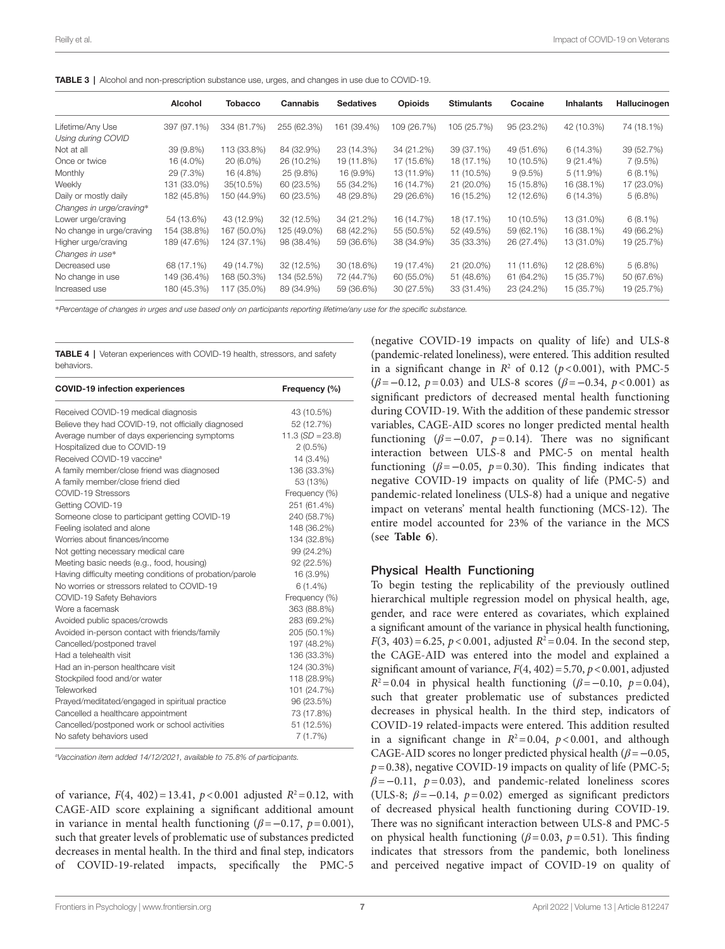<span id="page-7-0"></span>

|  |  | <b>TABLE 3</b>   Alcohol and non-prescription substance use, urges, and changes in use due to COVID-19. |
|--|--|---------------------------------------------------------------------------------------------------------|
|  |  |                                                                                                         |

|                           | Alcohol     | <b>Tobacco</b> | Cannabis    | <b>Sedatives</b> | <b>Opioids</b> | <b>Stimulants</b> | Cocaine    | <b>Inhalants</b> | Hallucinogen |
|---------------------------|-------------|----------------|-------------|------------------|----------------|-------------------|------------|------------------|--------------|
| Lifetime/Any Use          | 397 (97.1%) | 334 (81.7%)    | 255 (62.3%) | 161 (39.4%)      | 109 (26.7%)    | 105 (25.7%)       | 95 (23.2%) | 42 (10.3%)       | 74 (18.1%)   |
| Using during COVID        |             |                |             |                  |                |                   |            |                  |              |
| Not at all                | 39 (9.8%)   | 113 (33.8%)    | 84 (32.9%)  | 23 (14.3%)       | 34 (21.2%)     | 39 (37.1%)        | 49 (51.6%) | 6(14.3%)         | 39 (52.7%)   |
| Once or twice             | 16 (4.0%)   | 20 (6.0%)      | 26 (10.2%)  | 19 (11.8%)       | 17 (15.6%)     | 18 (17.1%)        | 10 (10.5%) | $9(21.4\%)$      | 7(9.5%)      |
| <b>Monthly</b>            | 29 (7.3%)   | 16 (4.8%)      | 25 (9.8%)   | 16 (9.9%)        | 13 (11.9%)     | 11 (10.5%)        | $9(9.5\%)$ | $5(11.9\%)$      | $6(8.1\%)$   |
| Weekly                    | 131 (33.0%) | 35(10.5%)      | 60 (23.5%)  | 55 (34.2%)       | 16 (14.7%)     | 21 (20.0%)        | 15 (15.8%) | 16 (38.1%)       | 17 (23.0%)   |
| Daily or mostly daily     | 182 (45.8%) | 150 (44.9%)    | 60 (23.5%)  | 48 (29.8%)       | 29 (26.6%)     | 16 (15.2%)        | 12 (12.6%) | 6(14.3%)         | $5(6.8\%)$   |
| Changes in urge/craving*  |             |                |             |                  |                |                   |            |                  |              |
| Lower urge/craving        | 54 (13.6%)  | 43 (12.9%)     | 32 (12.5%)  | 34 (21.2%)       | 16 (14.7%)     | 18 (17.1%)        | 10 (10.5%) | 13 (31.0%)       | $6(8.1\%)$   |
| No change in urge/craving | 154 (38.8%) | 167 (50.0%)    | 125 (49.0%) | 68 (42.2%)       | 55 (50.5%)     | 52 (49.5%)        | 59 (62.1%) | 16 (38.1%)       | 49 (66.2%)   |
| Higher urge/craving       | 189 (47.6%) | 124 (37.1%)    | 98 (38.4%)  | 59 (36.6%)       | 38 (34.9%)     | 35 (33.3%)        | 26 (27.4%) | 13 (31.0%)       | 19 (25.7%)   |
| Changes in use*           |             |                |             |                  |                |                   |            |                  |              |
| Decreased use             | 68 (17.1%)  | 49 (14.7%)     | 32 (12.5%)  | 30 (18.6%)       | 19 (17.4%)     | 21 (20.0%)        | 11 (11.6%) | 12 (28.6%)       | $5(6.8\%)$   |
| No change in use          | 149 (36.4%) | 168 (50.3%)    | 134 (52.5%) | 72 (44.7%)       | 60 (55.0%)     | 51 (48.6%)        | 61 (64.2%) | 15 (35.7%)       | 50 (67.6%)   |
| Increased use             | 180 (45.3%) | 117 (35.0%)    | 89 (34.9%)  | 59 (36.6%)       | 30 (27.5%)     | 33 (31.4%)        | 23 (24.2%) | 15 (35.7%)       | 19 (25.7%)   |

\**Percentage of changes in urges and use based only on participants reporting lifetime/any use for the specific substance.*

<span id="page-7-1"></span>TABLE 4 | Veteran experiences with COVID-19 health, stressors, and safety behaviors.

| <b>COVID-19 infection experiences</b>                    | Frequency (%)      |
|----------------------------------------------------------|--------------------|
| Received COVID-19 medical diagnosis                      | 43 (10.5%)         |
| Believe they had COVID-19, not officially diagnosed      | 52 (12.7%)         |
| Average number of days experiencing symptoms             | $11.3 (SD = 23.8)$ |
| Hospitalized due to COVID-19                             | $2(0.5\%)$         |
| Received COVID-19 vaccine <sup>a</sup>                   | 14 (3.4%)          |
| A family member/close friend was diagnosed               | 136 (33.3%)        |
| A family member/close friend died                        | 53 (13%)           |
| COVID-19 Stressors                                       | Frequency (%)      |
| Getting COVID-19                                         | 251 (61.4%)        |
| Someone close to participant getting COVID-19            | 240 (58.7%)        |
| Feeling isolated and alone                               | 148 (36.2%)        |
| Worries about finances/income                            | 134 (32.8%)        |
| Not getting necessary medical care                       | 99 (24.2%)         |
| Meeting basic needs (e.g., food, housing)                | 92 (22.5%)         |
| Having difficulty meeting conditions of probation/parole | 16 (3.9%)          |
| No worries or stressors related to COVID-19              | $6(1.4\%)$         |
| COVID-19 Safety Behaviors                                | Frequency (%)      |
| Wore a facemask                                          | 363 (88.8%)        |
| Avoided public spaces/crowds                             | 283 (69.2%)        |
| Avoided in-person contact with friends/family            | 205 (50.1%)        |
| Cancelled/postponed travel                               | 197 (48.2%)        |
| Had a telehealth visit                                   | 136 (33.3%)        |
| Had an in-person healthcare visit                        | 124 (30.3%)        |
| Stockpiled food and/or water                             | 118 (28.9%)        |
| Teleworked                                               | 101 (24.7%)        |
| Prayed/meditated/engaged in spiritual practice           | 96 (23.5%)         |
| Cancelled a healthcare appointment                       | 73 (17.8%)         |
| Cancelled/postponed work or school activities            | 51 (12.5%)         |
| No safety behaviors used                                 | 7(1.7%)            |

*a Vaccination item added 14/12/2021, available to 75.8% of participants.*

of variance,  $F(4, 402) = 13.41$ ,  $p < 0.001$  adjusted  $R^2 = 0.12$ , with CAGE-AID score explaining a significant additional amount in variance in mental health functioning ( $\beta$ =−0.17,  $p$ =0.001), such that greater levels of problematic use of substances predicted decreases in mental health. In the third and final step, indicators of COVID-19-related impacts, specifically the PMC-5

(negative COVID-19 impacts on quality of life) and ULS-8 (pandemic-related loneliness), were entered. This addition resulted in a significant change in  $R^2$  of 0.12 ( $p < 0.001$ ), with PMC-5 (*β*=−0.12, *p*=0.03) and ULS-8 scores (*β*=−0.34, *p*<0.001) as significant predictors of decreased mental health functioning during COVID-19. With the addition of these pandemic stressor variables, CAGE-AID scores no longer predicted mental health functioning ( $\beta$ =−0.07,  $p$ =0.14). There was no significant interaction between ULS-8 and PMC-5 on mental health functioning ( $\beta$ =−0.05,  $p$ =0.30). This finding indicates that negative COVID-19 impacts on quality of life (PMC-5) and pandemic-related loneliness (ULS-8) had a unique and negative impact on veterans' mental health functioning (MCS-12). The entire model accounted for 23% of the variance in the MCS (see **[Table 6](#page-8-1)**).

#### Physical Health Functioning

To begin testing the replicability of the previously outlined hierarchical multiple regression model on physical health, age, gender, and race were entered as covariates, which explained a significant amount of the variance in physical health functioning, *F*(3, 403) = 6.25, *p* < 0.001, adjusted  $R^2$  = 0.04. In the second step, the CAGE-AID was entered into the model and explained a significant amount of variance, *F*(4, 402)=5.70, *p*<0.001, adjusted  $R^2$ =0.04 in physical health functioning ( $\beta$ =−0.10,  $p$ =0.04), such that greater problematic use of substances predicted decreases in physical health. In the third step, indicators of COVID-19 related-impacts were entered. This addition resulted in a significant change in  $R^2 = 0.04$ ,  $p < 0.001$ , and although CAGE-AID scores no longer predicted physical health (*β*=−0.05,  $p=0.38$ ), negative COVID-19 impacts on quality of life (PMC-5;  $β=-0.11$ ,  $p=0.03$ ), and pandemic-related loneliness scores (ULS-8;  $\beta$ =−0.14,  $p$ =0.02) emerged as significant predictors of decreased physical health functioning during COVID-19. There was no significant interaction between ULS-8 and PMC-5 on physical health functioning ( $\beta$ =0.03,  $p$ =0.51). This finding indicates that stressors from the pandemic, both loneliness and perceived negative impact of COVID-19 on quality of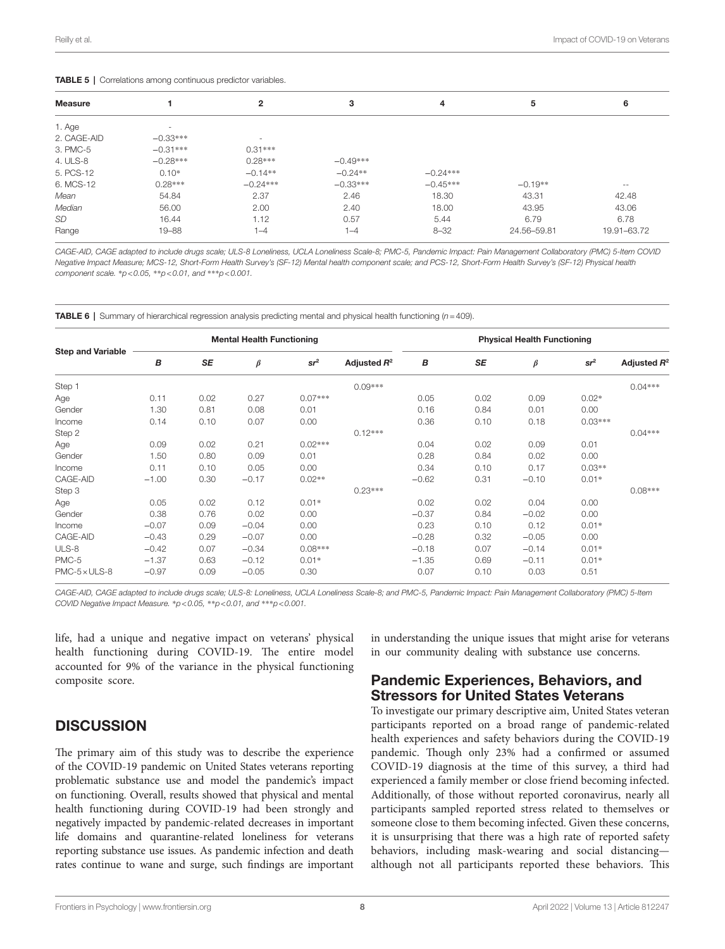#### <span id="page-8-0"></span>TABLE 5 | Correlations among continuous predictor variables.

| <b>Measure</b> |                          | $\mathbf{2}$             | 3          | 4          | 5           | 6           |  |  |  |
|----------------|--------------------------|--------------------------|------------|------------|-------------|-------------|--|--|--|
| 1. Age         | $\overline{\phantom{a}}$ |                          |            |            |             |             |  |  |  |
| 2. CAGE-AID    | $-0.33***$               | $\overline{\phantom{a}}$ |            |            |             |             |  |  |  |
| 3. PMC-5       | $-0.31***$               | $0.31***$                |            |            |             |             |  |  |  |
| 4. ULS-8       | $-0.28***$               | $0.28***$                | $-0.49***$ |            |             |             |  |  |  |
| 5. PCS-12      | $0.10*$                  | $-0.14**$                | $-0.24**$  | $-0.24***$ |             |             |  |  |  |
| 6. MCS-12      | $0.28***$                | $-0.24***$               | $-0.33***$ | $-0.45***$ | $-0.19**$   | $- -$       |  |  |  |
| Mean           | 54.84                    | 2.37                     | 2.46       | 18.30      | 43.31       | 42.48       |  |  |  |
| Median         | 56.00                    | 2.00                     | 2.40       | 18.00      | 43.95       | 43.06       |  |  |  |
| SD             | 16.44                    | 1.12                     | 0.57       | 5.44       | 6.79        | 6.78        |  |  |  |
| Range          | $19 - 88$                | $1 - 4$                  | $1 - 4$    | $8 - 32$   | 24.56-59.81 | 19.91-63.72 |  |  |  |
|                |                          |                          |            |            |             |             |  |  |  |

CAGE-AID, CAGE adapted to include drugs scale; ULS-8 Loneliness, UCLA Loneliness Scale-8; PMC-5, Pandemic Impact: Pain Management Collaboratory (PMC) 5-Item COVID *Negative Impact Measure; MCS-12, Short-Form Health Survey's (SF-12) Mental health component scale; and PCS-12, Short-Form Health Survey's (SF-12) Physical health component scale.* \**p<0.05,* \*\**p<0.01, and* \*\*\**p<0.001.*

<span id="page-8-1"></span>TABLE 6 | Summary of hierarchical regression analysis predicting mental and physical health functioning (*n*=409).

|                          | <b>Mental Health Functioning</b> |           |         |           |                | <b>Physical Health Functioning</b> |           |         |                 |                |
|--------------------------|----------------------------------|-----------|---------|-----------|----------------|------------------------------------|-----------|---------|-----------------|----------------|
| <b>Step and Variable</b> | В                                | <b>SE</b> | $\beta$ | $sr^2$    | Adjusted $R^2$ | B                                  | <b>SE</b> | $\beta$ | sr <sup>2</sup> | Adjusted $R^2$ |
| Step 1                   |                                  |           |         |           | $0.09***$      |                                    |           |         |                 | $0.04***$      |
| Age                      | 0.11                             | 0.02      | 0.27    | $0.07***$ |                | 0.05                               | 0.02      | 0.09    | $0.02*$         |                |
| Gender                   | 1.30                             | 0.81      | 0.08    | 0.01      |                | 0.16                               | 0.84      | 0.01    | 0.00            |                |
| Income                   | 0.14                             | 0.10      | 0.07    | 0.00      |                | 0.36                               | 0.10      | 0.18    | $0.03***$       |                |
| Step 2                   |                                  |           |         |           | $0.12***$      |                                    |           |         |                 | $0.04***$      |
| Age                      | 0.09                             | 0.02      | 0.21    | $0.02***$ |                | 0.04                               | 0.02      | 0.09    | 0.01            |                |
| Gender                   | 1.50                             | 0.80      | 0.09    | 0.01      |                | 0.28                               | 0.84      | 0.02    | 0.00            |                |
| Income                   | 0.11                             | 0.10      | 0.05    | 0.00      |                | 0.34                               | 0.10      | 0.17    | $0.03**$        |                |
| CAGE-AID                 | $-1.00$                          | 0.30      | $-0.17$ | $0.02**$  |                | $-0.62$                            | 0.31      | $-0.10$ | $0.01*$         |                |
| Step 3                   |                                  |           |         |           | $0.23***$      |                                    |           |         |                 | $0.08***$      |
| Age                      | 0.05                             | 0.02      | 0.12    | $0.01*$   |                | 0.02                               | 0.02      | 0.04    | 0.00            |                |
| Gender                   | 0.38                             | 0.76      | 0.02    | 0.00      |                | $-0.37$                            | 0.84      | $-0.02$ | 0.00            |                |
| Income                   | $-0.07$                          | 0.09      | $-0.04$ | 0.00      |                | 0.23                               | 0.10      | 0.12    | $0.01*$         |                |
| CAGE-AID                 | $-0.43$                          | 0.29      | $-0.07$ | 0.00      |                | $-0.28$                            | 0.32      | $-0.05$ | 0.00            |                |
| ULS-8                    | $-0.42$                          | 0.07      | $-0.34$ | $0.08***$ |                | $-0.18$                            | 0.07      | $-0.14$ | $0.01*$         |                |
| PMC-5                    | $-1.37$                          | 0.63      | $-0.12$ | $0.01*$   |                | $-1.35$                            | 0.69      | $-0.11$ | $0.01*$         |                |
| $PMC-5 \times ULS-8$     | $-0.97$                          | 0.09      | $-0.05$ | 0.30      |                | 0.07                               | 0.10      | 0.03    | 0.51            |                |

*CAGE-AID, CAGE adapted to include drugs scale; ULS-8: Loneliness, UCLA Loneliness Scale-8; and PMC-5, Pandemic Impact: Pain Management Collaboratory (PMC) 5-Item COVID Negative Impact Measure.* \**p<0.05,* \*\**p<0.01, and* \*\*\**p<0.001.*

life, had a unique and negative impact on veterans' physical health functioning during COVID-19. The entire model accounted for 9% of the variance in the physical functioning composite score.

## **DISCUSSION**

The primary aim of this study was to describe the experience of the COVID-19 pandemic on United States veterans reporting problematic substance use and model the pandemic's impact on functioning. Overall, results showed that physical and mental health functioning during COVID-19 had been strongly and negatively impacted by pandemic-related decreases in important life domains and quarantine-related loneliness for veterans reporting substance use issues. As pandemic infection and death rates continue to wane and surge, such findings are important in understanding the unique issues that might arise for veterans in our community dealing with substance use concerns.

## Pandemic Experiences, Behaviors, and Stressors for United States Veterans

To investigate our primary descriptive aim, United States veteran participants reported on a broad range of pandemic-related health experiences and safety behaviors during the COVID-19 pandemic. Though only 23% had a confirmed or assumed COVID-19 diagnosis at the time of this survey, a third had experienced a family member or close friend becoming infected. Additionally, of those without reported coronavirus, nearly all participants sampled reported stress related to themselves or someone close to them becoming infected. Given these concerns, it is unsurprising that there was a high rate of reported safety behaviors, including mask-wearing and social distancing although not all participants reported these behaviors. This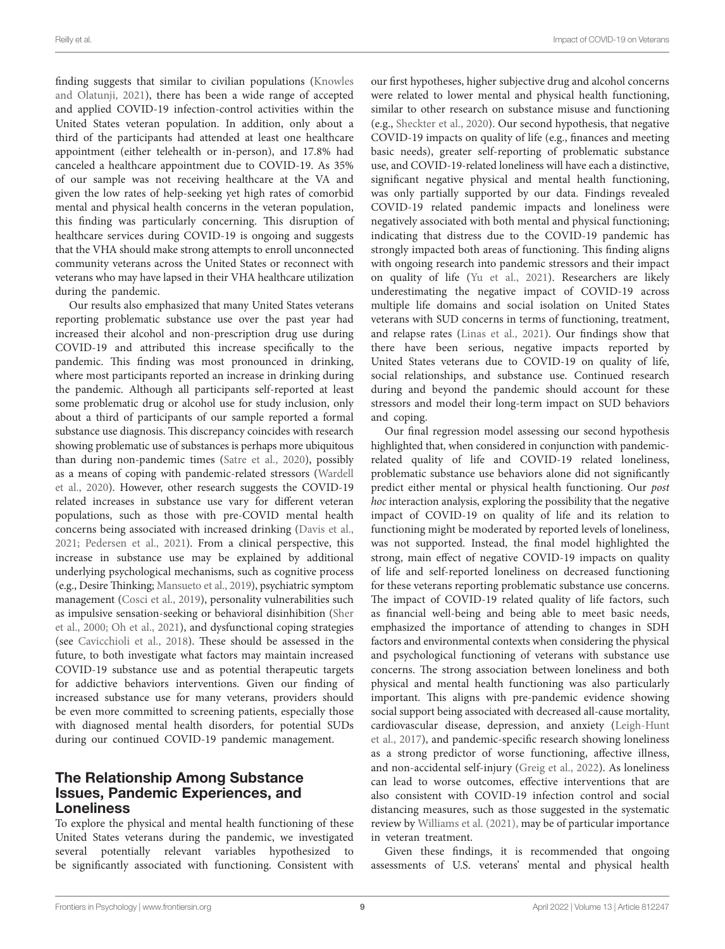finding suggests that similar to civilian populations ([Knowles](#page-11-27)  [and Olatunji, 2021](#page-11-27)), there has been a wide range of accepted and applied COVID-19 infection-control activities within the United States veteran population. In addition, only about a third of the participants had attended at least one healthcare appointment (either telehealth or in-person), and 17.8% had canceled a healthcare appointment due to COVID-19. As 35% of our sample was not receiving healthcare at the VA and given the low rates of help-seeking yet high rates of comorbid mental and physical health concerns in the veteran population, this finding was particularly concerning. This disruption of healthcare services during COVID-19 is ongoing and suggests that the VHA should make strong attempts to enroll unconnected community veterans across the United States or reconnect with veterans who may have lapsed in their VHA healthcare utilization during the pandemic.

Our results also emphasized that many United States veterans reporting problematic substance use over the past year had increased their alcohol and non-prescription drug use during COVID-19 and attributed this increase specifically to the pandemic. This finding was most pronounced in drinking, where most participants reported an increase in drinking during the pandemic. Although all participants self-reported at least some problematic drug or alcohol use for study inclusion, only about a third of participants of our sample reported a formal substance use diagnosis. This discrepancy coincides with research showing problematic use of substances is perhaps more ubiquitous than during non-pandemic times ([Satre et al., 2020\)](#page-12-21), possibly as a means of coping with pandemic-related stressors [\(Wardell](#page-12-22)  [et al., 2020](#page-12-22)). However, other research suggests the COVID-19 related increases in substance use vary for different veteran populations, such as those with pre-COVID mental health concerns being associated with increased drinking ([Davis et al.,](#page-11-28)  [2021](#page-11-28); [Pedersen et al., 2021\)](#page-12-12). From a clinical perspective, this increase in substance use may be explained by additional underlying psychological mechanisms, such as cognitive process (e.g., Desire Thinking; [Mansueto et al., 2019](#page-11-29)), psychiatric symptom management [\(Cosci et al., 2019\)](#page-11-30), personality vulnerabilities such as impulsive sensation-seeking or behavioral disinhibition ([Sher](#page-12-23)  [et al., 2000;](#page-12-23) [Oh et al., 2021\)](#page-12-24), and dysfunctional coping strategies (see [Cavicchioli et al., 2018](#page-11-31)). These should be assessed in the future, to both investigate what factors may maintain increased COVID-19 substance use and as potential therapeutic targets for addictive behaviors interventions. Given our finding of increased substance use for many veterans, providers should be even more committed to screening patients, especially those with diagnosed mental health disorders, for potential SUDs during our continued COVID-19 pandemic management.

## The Relationship Among Substance Issues, Pandemic Experiences, and Loneliness

To explore the physical and mental health functioning of these United States veterans during the pandemic, we investigated several potentially relevant variables hypothesized to be significantly associated with functioning. Consistent with our first hypotheses, higher subjective drug and alcohol concerns were related to lower mental and physical health functioning, similar to other research on substance misuse and functioning (e.g., [Sheckter et al., 2020](#page-12-25)). Our second hypothesis, that negative COVID-19 impacts on quality of life (e.g., finances and meeting basic needs), greater self-reporting of problematic substance use, and COVID-19-related loneliness will have each a distinctive, significant negative physical and mental health functioning, was only partially supported by our data. Findings revealed COVID-19 related pandemic impacts and loneliness were negatively associated with both mental and physical functioning; indicating that distress due to the COVID-19 pandemic has strongly impacted both areas of functioning. This finding aligns with ongoing research into pandemic stressors and their impact on quality of life ([Yu et al., 2021](#page-12-26)). Researchers are likely underestimating the negative impact of COVID-19 across multiple life domains and social isolation on United States veterans with SUD concerns in terms of functioning, treatment, and relapse rates ([Linas et al., 2021](#page-11-32)). Our findings show that there have been serious, negative impacts reported by United States veterans due to COVID-19 on quality of life, social relationships, and substance use. Continued research during and beyond the pandemic should account for these stressors and model their long-term impact on SUD behaviors and coping.

Our final regression model assessing our second hypothesis highlighted that, when considered in conjunction with pandemicrelated quality of life and COVID-19 related loneliness, problematic substance use behaviors alone did not significantly predict either mental or physical health functioning. Our *post hoc* interaction analysis, exploring the possibility that the negative impact of COVID-19 on quality of life and its relation to functioning might be moderated by reported levels of loneliness, was not supported. Instead, the final model highlighted the strong, main effect of negative COVID-19 impacts on quality of life and self-reported loneliness on decreased functioning for these veterans reporting problematic substance use concerns. The impact of COVID-19 related quality of life factors, such as financial well-being and being able to meet basic needs, emphasized the importance of attending to changes in SDH factors and environmental contexts when considering the physical and psychological functioning of veterans with substance use concerns. The strong association between loneliness and both physical and mental health functioning was also particularly important. This aligns with pre-pandemic evidence showing social support being associated with decreased all-cause mortality, cardiovascular disease, depression, and anxiety [\(Leigh-Hunt](#page-11-33)  [et al., 2017](#page-11-33)), and pandemic-specific research showing loneliness as a strong predictor of worse functioning, affective illness, and non-accidental self-injury [\(Greig et al., 2022\)](#page-11-34). As loneliness can lead to worse outcomes, effective interventions that are also consistent with COVID-19 infection control and social distancing measures, such as those suggested in the systematic review by [Williams et al. \(2021\),](#page-12-27) may be of particular importance in veteran treatment.

Given these findings, it is recommended that ongoing assessments of U.S. veterans' mental and physical health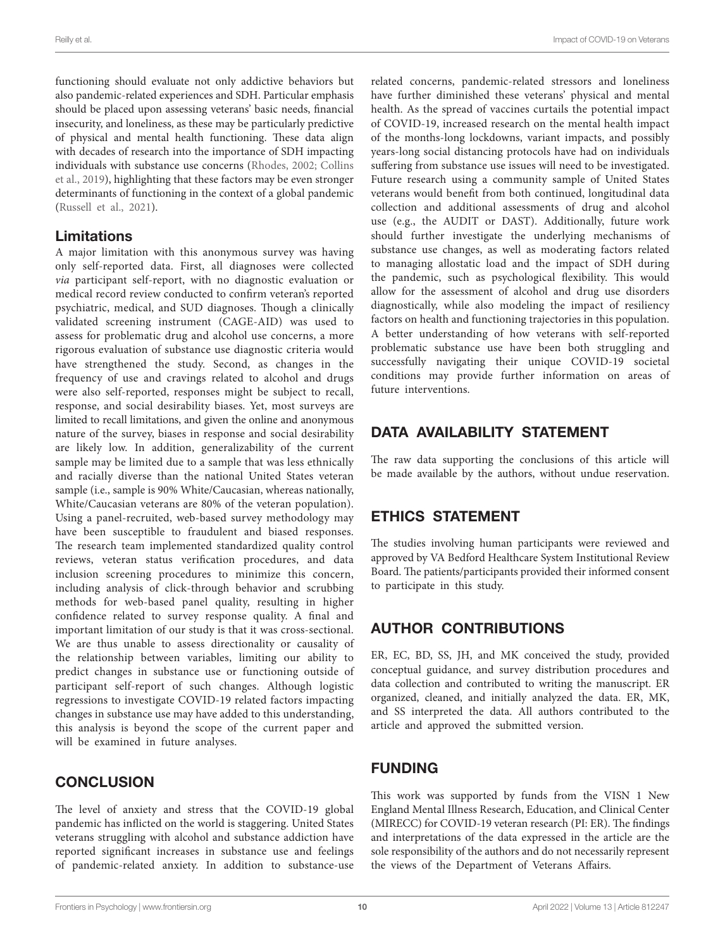functioning should evaluate not only addictive behaviors but also pandemic-related experiences and SDH. Particular emphasis should be placed upon assessing veterans' basic needs, financial insecurity, and loneliness, as these may be particularly predictive of physical and mental health functioning. These data align with decades of research into the importance of SDH impacting individuals with substance use concerns [\(Rhodes, 2002](#page-12-28); [Collins](#page-11-35)  [et al., 2019\)](#page-11-35), highlighting that these factors may be even stronger determinants of functioning in the context of a global pandemic ([Russell et al., 2021](#page-12-29)).

## Limitations

A major limitation with this anonymous survey was having only self-reported data. First, all diagnoses were collected *via* participant self-report, with no diagnostic evaluation or medical record review conducted to confirm veteran's reported psychiatric, medical, and SUD diagnoses. Though a clinically validated screening instrument (CAGE-AID) was used to assess for problematic drug and alcohol use concerns, a more rigorous evaluation of substance use diagnostic criteria would have strengthened the study. Second, as changes in the frequency of use and cravings related to alcohol and drugs were also self-reported, responses might be subject to recall, response, and social desirability biases. Yet, most surveys are limited to recall limitations, and given the online and anonymous nature of the survey, biases in response and social desirability are likely low. In addition, generalizability of the current sample may be limited due to a sample that was less ethnically and racially diverse than the national United States veteran sample (i.e., sample is 90% White/Caucasian, whereas nationally, White/Caucasian veterans are 80% of the veteran population). Using a panel-recruited, web-based survey methodology may have been susceptible to fraudulent and biased responses. The research team implemented standardized quality control reviews, veteran status verification procedures, and data inclusion screening procedures to minimize this concern, including analysis of click-through behavior and scrubbing methods for web-based panel quality, resulting in higher confidence related to survey response quality. A final and important limitation of our study is that it was cross-sectional. We are thus unable to assess directionality or causality of the relationship between variables, limiting our ability to predict changes in substance use or functioning outside of participant self-report of such changes. Although logistic regressions to investigate COVID-19 related factors impacting changes in substance use may have added to this understanding, this analysis is beyond the scope of the current paper and will be examined in future analyses.

# **CONCLUSION**

The level of anxiety and stress that the COVID-19 global pandemic has inflicted on the world is staggering. United States veterans struggling with alcohol and substance addiction have reported significant increases in substance use and feelings of pandemic-related anxiety. In addition to substance-use

related concerns, pandemic-related stressors and loneliness have further diminished these veterans' physical and mental health. As the spread of vaccines curtails the potential impact of COVID-19, increased research on the mental health impact of the months-long lockdowns, variant impacts, and possibly years-long social distancing protocols have had on individuals suffering from substance use issues will need to be investigated. Future research using a community sample of United States veterans would benefit from both continued, longitudinal data collection and additional assessments of drug and alcohol use (e.g., the AUDIT or DAST). Additionally, future work should further investigate the underlying mechanisms of substance use changes, as well as moderating factors related to managing allostatic load and the impact of SDH during the pandemic, such as psychological flexibility. This would allow for the assessment of alcohol and drug use disorders diagnostically, while also modeling the impact of resiliency factors on health and functioning trajectories in this population. A better understanding of how veterans with self-reported problematic substance use have been both struggling and successfully navigating their unique COVID-19 societal conditions may provide further information on areas of future interventions.

# DATA AVAILABILITY STATEMENT

The raw data supporting the conclusions of this article will be made available by the authors, without undue reservation.

# ETHICS STATEMENT

The studies involving human participants were reviewed and approved by VA Bedford Healthcare System Institutional Review Board. The patients/participants provided their informed consent to participate in this study.

# AUTHOR CONTRIBUTIONS

ER, EC, BD, SS, JH, and MK conceived the study, provided conceptual guidance, and survey distribution procedures and data collection and contributed to writing the manuscript. ER organized, cleaned, and initially analyzed the data. ER, MK, and SS interpreted the data. All authors contributed to the article and approved the submitted version.

# FUNDING

This work was supported by funds from the VISN 1 New England Mental Illness Research, Education, and Clinical Center (MIRECC) for COVID-19 veteran research (PI: ER). The findings and interpretations of the data expressed in the article are the sole responsibility of the authors and do not necessarily represent the views of the Department of Veterans Affairs.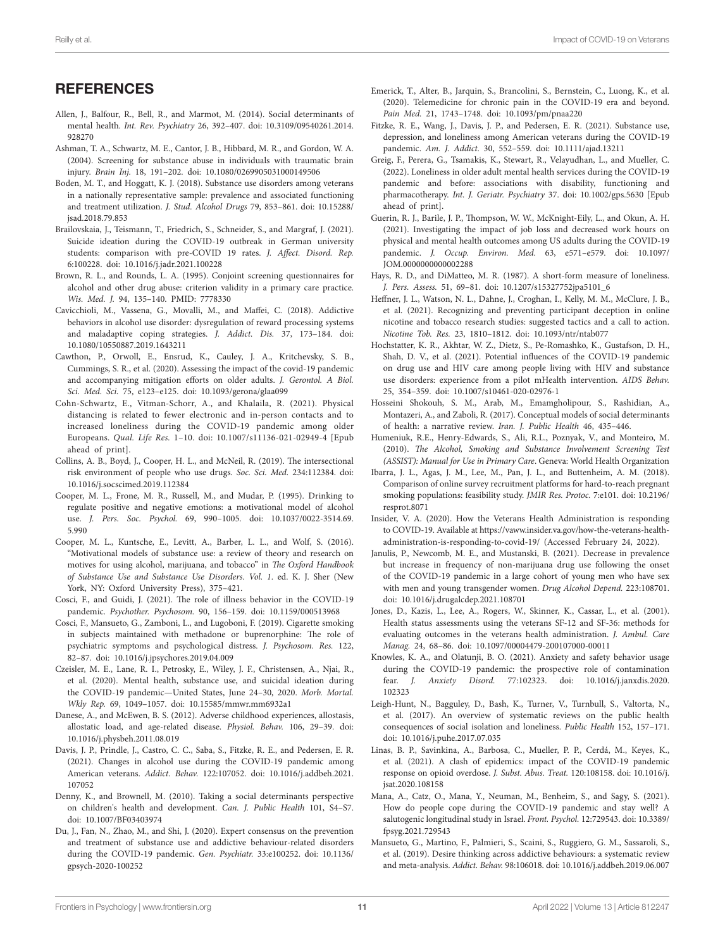## **REFERENCES**

- <span id="page-11-16"></span>Allen, J., Balfour, R., Bell, R., and Marmot, M. (2014). Social determinants of mental health. *Int. Rev. Psychiatry* 26, 392–407. doi: [10.3109/09540261.2014.](https://doi.org/10.3109/09540261.2014.928270) [928270](https://doi.org/10.3109/09540261.2014.928270)
- <span id="page-11-22"></span>Ashman, T. A., Schwartz, M. E., Cantor, J. B., Hibbard, M. R., and Gordon, W. A. (2004). Screening for substance abuse in individuals with traumatic brain injury. *Brain Inj.* 18, 191–202. doi: [10.1080/0269905031000149506](https://doi.org/10.1080/0269905031000149506)
- <span id="page-11-13"></span>Boden, M. T., and Hoggatt, K. J. (2018). Substance use disorders among veterans in a nationally representative sample: prevalence and associated functioning and treatment utilization. *J. Stud. Alcohol Drugs* 79, 853–861. doi: [10.15288/](https://doi.org/10.15288/jsad.2018.79.853) [jsad.2018.79.853](https://doi.org/10.15288/jsad.2018.79.853)
- <span id="page-11-2"></span>Brailovskaia, J., Teismann, T., Friedrich, S., Schneider, S., and Margraf, J. (2021). Suicide ideation during the COVID-19 outbreak in German university students: comparison with pre-COVID 19 rates. *J. Affect. Disord. Rep.* 6:100228. doi: [10.1016/j.jadr.2021.100228](https://doi.org/10.1016/j.jadr.2021.100228)
- <span id="page-11-21"></span>Brown, R. L., and Rounds, L. A. (1995). Conjoint screening questionnaires for alcohol and other drug abuse: criterion validity in a primary care practice. *Wis. Med. J.* 94, 135–140. PMID: [7778330](https://doi.org/7778330)
- <span id="page-11-31"></span>Cavicchioli, M., Vassena, G., Movalli, M., and Maffei, C. (2018). Addictive behaviors in alcohol use disorder: dysregulation of reward processing systems and maladaptive coping strategies. *J. Addict. Dis.* 37, 173–184. doi: [10.1080/10550887.2019.1643211](https://doi.org/10.1080/10550887.2019.1643211)
- <span id="page-11-25"></span>Cawthon, P., Orwoll, E., Ensrud, K., Cauley, J. A., Kritchevsky, S. B., Cummings, S. R., et al. (2020). Assessing the impact of the covid-19 pandemic and accompanying mitigation efforts on older adults. *J. Gerontol. A Biol. Sci. Med. Sci.* 75, e123–e125. doi: [10.1093/gerona/glaa099](https://doi.org/10.1093/gerona/glaa099)
- <span id="page-11-3"></span>Cohn-Schwartz, E., Vitman-Schorr, A., and Khalaila, R. (2021). Physical distancing is related to fewer electronic and in-person contacts and to increased loneliness during the COVID-19 pandemic among older Europeans. *Qual. Life Res.* 1–10. doi: [10.1007/s11136-021-02949-4](https://doi.org/10.1007/s11136-021-02949-4) [Epub ahead of print].
- <span id="page-11-35"></span>Collins, A. B., Boyd, J., Cooper, H. L., and McNeil, R. (2019). The intersectional risk environment of people who use drugs. *Soc. Sci. Med.* 234:112384. doi: [10.1016/j.socscimed.2019.112384](https://doi.org/10.1016/j.socscimed.2019.112384)
- <span id="page-11-9"></span>Cooper, M. L., Frone, M. R., Russell, M., and Mudar, P. (1995). Drinking to regulate positive and negative emotions: a motivational model of alcohol use. *J. Pers. Soc. Psychol.* 69, 990–1005. doi: [10.1037/0022-3514.69.](https://doi.org/10.1037/0022-3514.69.5.990) [5.990](https://doi.org/10.1037/0022-3514.69.5.990)
- <span id="page-11-10"></span>Cooper, M. L., Kuntsche, E., Levitt, A., Barber, L. L., and Wolf, S. (2016). "Motivational models of substance use: a review of theory and research on motives for using alcohol, marijuana, and tobacco" in *The Oxford Handbook of Substance Use and Substance Use Disorders. Vol. 1*. ed. K. J. Sher (New York, NY: Oxford University Press), 375–421.
- <span id="page-11-5"></span>Cosci, F., and Guidi, J. (2021). The role of illness behavior in the COVID-19 pandemic. *Psychother. Psychosom.* 90, 156–159. doi: [10.1159/000513968](https://doi.org/10.1159/000513968)
- <span id="page-11-30"></span>Cosci, F., Mansueto, G., Zamboni, L., and Lugoboni, F. (2019). Cigarette smoking in subjects maintained with methadone or buprenorphine: The role of psychiatric symptoms and psychological distress. *J. Psychosom. Res.* 122, 82–87. doi: [10.1016/j.jpsychores.2019.04.009](https://doi.org/10.1016/j.jpsychores.2019.04.009)
- <span id="page-11-7"></span>Czeisler, M. E., Lane, R. I., Petrosky, E., Wiley, J. F., Christensen, A., Njai, R., et al. (2020). Mental health, substance use, and suicidal ideation during the COVID-19 pandemic—United States, June 24–30, 2020. *Morb. Mortal. Wkly Rep.* 69, 1049–1057. doi: [10.15585/mmwr.mm6932a1](https://doi.org/10.15585/mmwr.mm6932a1)
- <span id="page-11-6"></span>Danese, A., and McEwen, B. S. (2012). Adverse childhood experiences, allostasis, allostatic load, and age-related disease. *Physiol. Behav.* 106, 29–39. doi: [10.1016/j.physbeh.2011.08.019](https://doi.org/10.1016/j.physbeh.2011.08.019)
- <span id="page-11-28"></span>Davis, J. P., Prindle, J., Castro, C. C., Saba, S., Fitzke, R. E., and Pedersen, E. R. (2021). Changes in alcohol use during the COVID-19 pandemic among American veterans. *Addict. Behav.* 122:107052. doi: [10.1016/j.addbeh.2021.](https://doi.org/10.1016/j.addbeh.2021.107052) [107052](https://doi.org/10.1016/j.addbeh.2021.107052)
- <span id="page-11-17"></span>Denny, K., and Brownell, M. (2010). Taking a social determinants perspective on children's health and development. *Can. J. Public Health* 101, S4–S7. doi: [10.1007/BF03403974](https://doi.org/10.1007/BF03403974)
- <span id="page-11-11"></span>Du, J., Fan, N., Zhao, M., and Shi, J. (2020). Expert consensus on the prevention and treatment of substance use and addictive behaviour-related disorders during the COVID-19 pandemic. *Gen. Psychiatr.* 33:e100252. doi: [10.1136/](https://doi.org/10.1136/gpsych-2020-100252) [gpsych-2020-100252](https://doi.org/10.1136/gpsych-2020-100252)
- <span id="page-11-0"></span>Emerick, T., Alter, B., Jarquin, S., Brancolini, S., Bernstein, C., Luong, K., et al. (2020). Telemedicine for chronic pain in the COVID-19 era and beyond. *Pain Med.* 21, 1743–1748. doi: [10.1093/pm/pnaa220](https://doi.org/10.1093/pm/pnaa220)
- <span id="page-11-18"></span>Fitzke, R. E., Wang, J., Davis, J. P., and Pedersen, E. R. (2021). Substance use, depression, and loneliness among American veterans during the COVID-19 pandemic. *Am. J. Addict.* 30, 552–559. doi: [10.1111/ajad.13211](https://doi.org/10.1111/ajad.13211)
- <span id="page-11-34"></span>Greig, F., Perera, G., Tsamakis, K., Stewart, R., Velayudhan, L., and Mueller, C. (2022). Loneliness in older adult mental health services during the COVID-19 pandemic and before: associations with disability, functioning and pharmacotherapy. *Int. J. Geriatr. Psychiatry* 37. doi: [10.1002/gps.5630](https://doi.org/10.1002/gps.5630) [Epub ahead of print].
- <span id="page-11-15"></span>Guerin, R. J., Barile, J. P., Thompson, W. W., McKnight-Eily, L., and Okun, A. H. (2021). Investigating the impact of job loss and decreased work hours on physical and mental health outcomes among US adults during the COVID-19 pandemic. *J. Occup. Environ. Med.* 63, e571–e579. doi: [10.1097/](https://doi.org/10.1097/JOM.0000000000002288) [JOM.0000000000002288](https://doi.org/10.1097/JOM.0000000000002288)
- <span id="page-11-26"></span>Hays, R. D., and DiMatteo, M. R. (1987). A short-form measure of loneliness. *J. Pers. Assess.* 51, 69–81. doi: [10.1207/s15327752jpa5101\\_6](https://doi.org/10.1207/s15327752jpa5101_6)
- <span id="page-11-20"></span>Heffner, J. L., Watson, N. L., Dahne, J., Croghan, I., Kelly, M. M., McClure, J. B., et al. (2021). Recognizing and preventing participant deception in online nicotine and tobacco research studies: suggested tactics and a call to action. *Nicotine Tob. Res.* 23, 1810–1812. doi: [10.1093/ntr/ntab077](https://doi.org/10.1093/ntr/ntab077)
- <span id="page-11-1"></span>Hochstatter, K. R., Akhtar, W. Z., Dietz, S., Pe-Romashko, K., Gustafson, D. H., Shah, D. V., et al. (2021). Potential influences of the COVID-19 pandemic on drug use and HIV care among people living with HIV and substance use disorders: experience from a pilot mHealth intervention. *AIDS Behav.* 25, 354–359. doi: [10.1007/s10461-020-02976-1](https://doi.org/10.1007/s10461-020-02976-1)
- <span id="page-11-14"></span>Hosseini Shokouh, S. M., Arab, M., Emamgholipour, S., Rashidian, A., Montazeri, A., and Zaboli, R. (2017). Conceptual models of social determinants of health: a narrative review. *Iran. J. Public Health* 46, 435–446.
- <span id="page-11-23"></span>Humeniuk, R.E., Henry-Edwards, S., Ali, R.L., Poznyak, V., and Monteiro, M. (2010). *The Alcohol, Smoking and Substance Involvement Screening Test (ASSIST): Manual for Use in Primary Care*. Geneva: World Health Organization
- <span id="page-11-19"></span>Ibarra, J. L., Agas, J. M., Lee, M., Pan, J. L., and Buttenheim, A. M. (2018). Comparison of online survey recruitment platforms for hard-to-reach pregnant smoking populations: feasibility study. *JMIR Res. Protoc.* 7:e101. doi: [10.2196/](https://doi.org/10.2196/resprot.8071) [resprot.8071](https://doi.org/10.2196/resprot.8071)
- <span id="page-11-12"></span>Insider, V. A. (2020). How the Veterans Health Administration is responding to COVID-19. Available at [https://vaww.insider.va.gov/how-the-veterans-health](https://vaww.insider.va.gov/how-the-veterans-health-administration-is-responding-to-covid-19/)[administration-is-responding-to-covid-19/](https://vaww.insider.va.gov/how-the-veterans-health-administration-is-responding-to-covid-19/) (Accessed February 24, 2022).
- <span id="page-11-8"></span>Janulis, P., Newcomb, M. E., and Mustanski, B. (2021). Decrease in prevalence but increase in frequency of non-marijuana drug use following the onset of the COVID-19 pandemic in a large cohort of young men who have sex with men and young transgender women. *Drug Alcohol Depend.* 223:108701. doi: [10.1016/j.drugalcdep.2021.108701](https://doi.org/10.1016/j.drugalcdep.2021.108701)
- <span id="page-11-24"></span>Jones, D., Kazis, L., Lee, A., Rogers, W., Skinner, K., Cassar, L., et al. (2001). Health status assessments using the veterans SF-12 and SF-36: methods for evaluating outcomes in the veterans health administration. *J. Ambul. Care Manag.* 24, 68–86. doi: [10.1097/00004479-200107000-00011](https://doi.org/10.1097/00004479-200107000-00011)
- <span id="page-11-27"></span>Knowles, K. A., and Olatunji, B. O. (2021). Anxiety and safety behavior usage during the COVID-19 pandemic: the prospective role of contamination fear. *J. Anxiety Disord.* 77:102323. doi: [10.1016/j.janxdis.2020.](https://doi.org/10.1016/j.janxdis.2020.102323) [102323](https://doi.org/10.1016/j.janxdis.2020.102323)
- <span id="page-11-33"></span>Leigh-Hunt, N., Bagguley, D., Bash, K., Turner, V., Turnbull, S., Valtorta, N., et al. (2017). An overview of systematic reviews on the public health consequences of social isolation and loneliness. *Public Health* 152, 157–171. doi: [10.1016/j.puhe.2017.07.035](https://doi.org/10.1016/j.puhe.2017.07.035)
- <span id="page-11-32"></span>Linas, B. P., Savinkina, A., Barbosa, C., Mueller, P. P., Cerdá, M., Keyes, K., et al. (2021). A clash of epidemics: impact of the COVID-19 pandemic response on opioid overdose. *J. Subst. Abus. Treat.* 120:108158. doi: [10.1016/j.](https://doi.org/10.1016/j.jsat.2020.108158) [jsat.2020.108158](https://doi.org/10.1016/j.jsat.2020.108158)
- <span id="page-11-4"></span>Mana, A., Catz, O., Mana, Y., Neuman, M., Benheim, S., and Sagy, S. (2021). How do people cope during the COVID-19 pandemic and stay well? A salutogenic longitudinal study in Israel. *Front. Psychol.* 12:729543. doi: [10.3389/](https://doi.org/10.3389/fpsyg.2021.729543) [fpsyg.2021.729543](https://doi.org/10.3389/fpsyg.2021.729543)
- <span id="page-11-29"></span>Mansueto, G., Martino, F., Palmieri, S., Scaini, S., Ruggiero, G. M., Sassaroli, S., et al. (2019). Desire thinking across addictive behaviours: a systematic review and meta-analysis. *Addict. Behav.* 98:106018. doi: [10.1016/j.addbeh.2019.06.007](https://doi.org/10.1016/j.addbeh.2019.06.007)